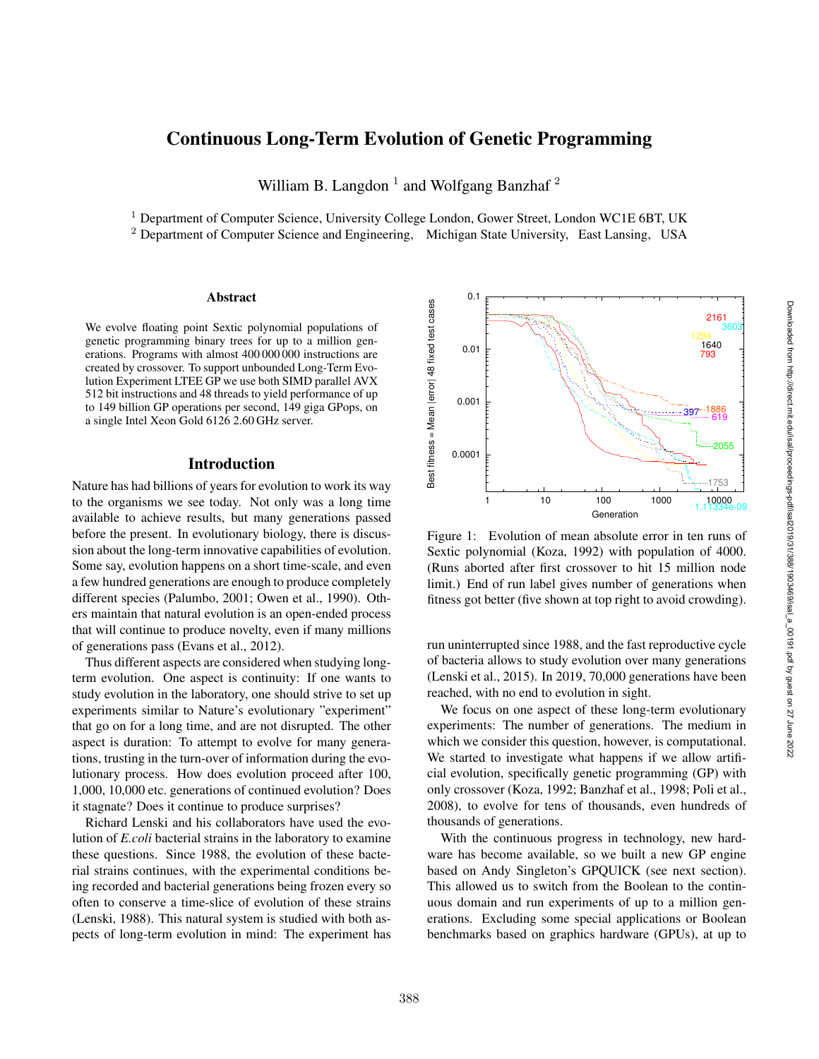# Continuous Long-Term Evolution of Genetic Programming

William B. Langdon<sup>1</sup> and Wolfgang Banzhaf<sup>2</sup>

<sup>1</sup> Department of Computer Science, University College London, Gower Street, London WC1E 6BT, UK

<sup>2</sup> Department of Computer Science and Engineering, Michigan State University, East Lansing, USA

#### Abstract

We evolve floating point Sextic polynomial populations of genetic programming binary trees for up to a million generations. Programs with almost 400 000 000 instructions are created by crossover. To support unbounded Long-Term Evolution Experiment LTEE GP we use both SIMD parallel AVX 512 bit instructions and 48 threads to yield performance of up to 149 billion GP operations per second, 149 giga GPops, on a single Intel Xeon Gold 6126 2.60 GHz server.

## Introduction

Nature has had billions of years for evolution to work its way to the organisms we see today. Not only was a long time available to achieve results, but many generations passed before the present. In evolutionary biology, there is discussion about the long-term innovative capabilities of evolution. Some say, evolution happens on a short time-scale, and even a few hundred generations are enough to produce completely different species (Palumbo, 2001; Owen et al., 1990). Others maintain that natural evolution is an open-ended process that will continue to produce novelty, even if many millions of generations pass (Evans et al., 2012).

Thus different aspects are considered when studying longterm evolution. One aspect is continuity: If one wants to study evolution in the laboratory, one should strive to set up experiments similar to Nature's evolutionary "experiment" that go on for a long time, and are not disrupted. The other aspect is duration: To attempt to evolve for many generations, trusting in the turn-over of information during the evolutionary process. How does evolution proceed after 100, 1,000, 10,000 etc. generations of continued evolution? Does it stagnate? Does it continue to produce surprises?

Richard Lenski and his collaborators have used the evolution of *E.coli* bacterial strains in the laboratory to examine these questions. Since 1988, the evolution of these bacterial strains continues, with the experimental conditions being recorded and bacterial generations being frozen every so often to conserve a time-slice of evolution of these strains (Lenski, 1988). This natural system is studied with both aspects of long-term evolution in mind: The experiment has



Figure 1: Evolution of mean absolute error in ten runs of Sextic polynomial (Koza, 1992) with population of 4000. (Runs aborted after first crossover to hit 15 million node limit.) End of run label gives number of generations when fitness got better (five shown at top right to avoid crowding).

run uninterrupted since 1988, and the fast reproductive cycle of bacteria allows to study evolution over many generations (Lenski et al., 2015). In 2019, 70,000 generations have been reached, with no end to evolution in sight.

We focus on one aspect of these long-term evolutionary experiments: The number of generations. The medium in which we consider this question, however, is computational. We started to investigate what happens if we allow artificial evolution, specifically genetic programming (GP) with only crossover (Koza, 1992; Banzhaf et al., 1998; Poli et al., 2008), to evolve for tens of thousands, even hundreds of thousands of generations.

With the continuous progress in technology, new hardware has become available, so we built a new GP engine based on Andy Singleton's GPQUICK (see next section). This allowed us to switch from the Boolean to the continuous domain and run experiments of up to a million generations. Excluding some special applications or Boolean benchmarks based on graphics hardware (GPUs), at up to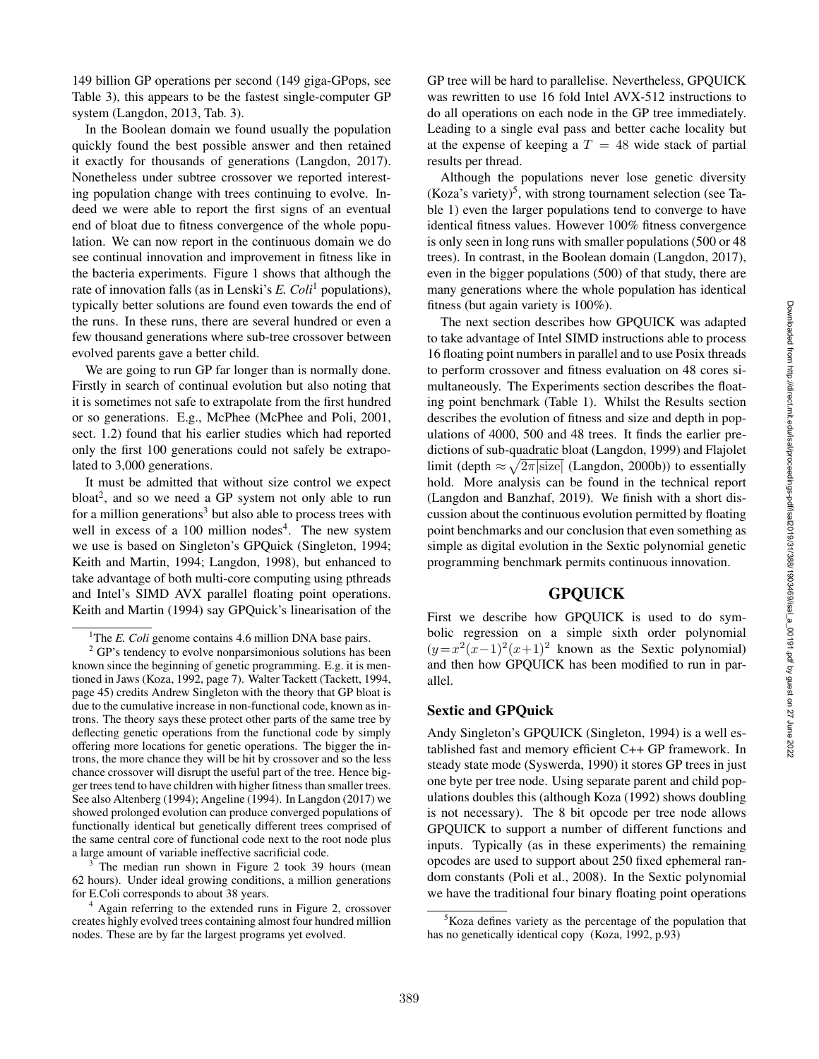149 billion GP operations per second (149 giga-GPops, see Table 3), this appears to be the fastest single-computer GP system (Langdon, 2013, Tab. 3).

In the Boolean domain we found usually the population quickly found the best possible answer and then retained it exactly for thousands of generations (Langdon, 2017). Nonetheless under subtree crossover we reported interesting population change with trees continuing to evolve. Indeed we were able to report the first signs of an eventual end of bloat due to fitness convergence of the whole population. We can now report in the continuous domain we do see continual innovation and improvement in fitness like in the bacteria experiments. Figure 1 shows that although the rate of innovation falls (as in Lenski's *E. Coli*<sup>1</sup> populations), typically better solutions are found even towards the end of the runs. In these runs, there are several hundred or even a few thousand generations where sub-tree crossover between evolved parents gave a better child.

We are going to run GP far longer than is normally done. Firstly in search of continual evolution but also noting that it is sometimes not safe to extrapolate from the first hundred or so generations. E.g., McPhee (McPhee and Poli, 2001, sect. 1.2) found that his earlier studies which had reported only the first 100 generations could not safely be extrapolated to 3,000 generations.

It must be admitted that without size control we expect bloat 2 , and so we need a GP system not only able to run for a million generations<sup>3</sup> but also able to process trees with well in excess of a 100 million nodes 4 . The new system we use is based on Singleton's GPQuick (Singleton, 1994; Keith and Martin, 1994; Langdon, 1998), but enhanced to take advantage of both multi-core computing using pthreads and Intel's SIMD AVX parallel floating point operations. Keith and Martin (1994) say GPQuick's linearisation of the

The median run shown in Figure 2 took 39 hours (mean 62 hours). Under ideal growing conditions, a million generations for E.Coli corresponds to about 38 years.

<sup>4</sup> Again referring to the extended runs in Figure 2, crossover creates highly evolved trees containing almost four hundred million nodes. These are by far the largest programs yet evolved.

GP tree will be hard to parallelise. Nevertheless, GPQUICK was rewritten to use 16 fold Intel AVX-512 instructions to do all operations on each node in the GP tree immediately. Leading to a single eval pass and better cache locality but at the expense of keeping a  $T = 48$  wide stack of partial results per thread.

Although the populations never lose genetic diversity (Koza's variety)<sup>5</sup>, with strong tournament selection (see Table 1) even the larger populations tend to converge to have identical fitness values. However 100% fitness convergence is only seen in long runs with smaller populations (500 or 48 trees). In contrast, in the Boolean domain (Langdon, 2017), even in the bigger populations (500) of that study, there are many generations where the whole population has identical fitness (but again variety is 100%).

The next section describes how GPQUICK was adapted to take advantage of Intel SIMD instructions able to process 16 floating point numbers in parallel and to use Posix threads to perform crossover and fitness evaluation on 48 cores simultaneously. The Experiments section describes the floating point benchmark (Table 1). Whilst the Results section describes the evolution of fitness and size and depth in populations of 4000, 500 and 48 trees. It finds the earlier predictions of sub-quadratic bloat (Langdon, 1999) and Flajolet limit (depth  $\approx \sqrt{2\pi |\text{size}|}$  (Langdon, 2000b)) to essentially hold. More analysis can be found in the technical report (Langdon and Banzhaf, 2019). We finish with a short discussion about the continuous evolution permitted by floating point benchmarks and our conclusion that even something as simple as digital evolution in the Sextic polynomial genetic programming benchmark permits continuous innovation.

## GPQUICK

First we describe how GPQUICK is used to do symbolic regression on a simple sixth order polynomial  $(y=x^2(x-1)^2(x+1)^2$  known as the Sextic polynomial) and then how GPQUICK has been modified to run in parallel.

## Sextic and GPQuick

Andy Singleton's GPQUICK (Singleton, 1994) is a well established fast and memory efficient C++ GP framework. In steady state mode (Syswerda, 1990) it stores GP trees in just one byte per tree node. Using separate parent and child populations doubles this (although Koza (1992) shows doubling is not necessary). The 8 bit opcode per tree node allows GPQUICK to support a number of different functions and inputs. Typically (as in these experiments) the remaining opcodes are used to support about 250 fixed ephemeral random constants (Poli et al., 2008). In the Sextic polynomial we have the traditional four binary floating point operations

<sup>&</sup>lt;sup>1</sup>The *E. Coli* genome contains 4.6 million DNA base pairs.

 $2$  GP's tendency to evolve nonparsimonious solutions has been known since the beginning of genetic programming. E.g. it is mentioned in Jaws (Koza, 1992, page 7). Walter Tackett (Tackett, 1994, page 45) credits Andrew Singleton with the theory that GP bloat is due to the cumulative increase in non-functional code, known as introns. The theory says these protect other parts of the same tree by deflecting genetic operations from the functional code by simply offering more locations for genetic operations. The bigger the introns, the more chance they will be hit by crossover and so the less chance crossover will disrupt the useful part of the tree. Hence bigger trees tend to have children with higher fitness than smaller trees. See also Altenberg (1994); Angeline (1994). In Langdon (2017) we showed prolonged evolution can produce converged populations of functionally identical but genetically different trees comprised of the same central core of functional code next to the root node plus a large amount of variable ineffective sacrificial code.

 ${}^{5}$ Koza defines variety as the percentage of the population that has no genetically identical copy (Koza, 1992, p.93)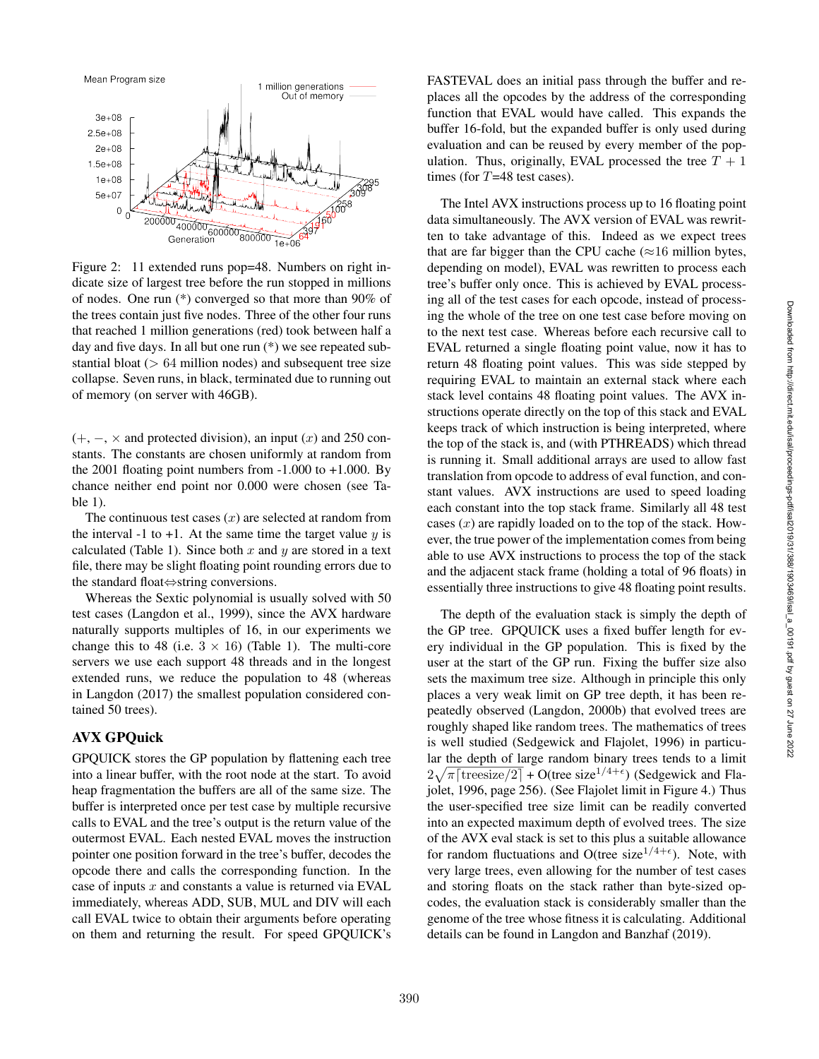

Figure 2: 11 extended runs pop=48. Numbers on right indicate size of largest tree before the run stopped in millions of nodes. One run (\*) converged so that more than 90% of the trees contain just five nodes. Three of the other four runs that reached 1 million generations (red) took between half a day and five days. In all but one run (\*) we see repeated substantial bloat  $(> 64$  million nodes) and subsequent tree size collapse. Seven runs, in black, terminated due to running out of memory (on server with 46GB).

 $(+, -, \times)$  and protected division), an input  $(x)$  and 250 constants. The constants are chosen uniformly at random from the 2001 floating point numbers from  $-1.000$  to  $+1.000$ . By chance neither end point nor 0.000 were chosen (see Table 1).

The continuous test cases  $(x)$  are selected at random from the interval -1 to +1. At the same time the target value  $y$  is calculated (Table 1). Since both  $x$  and  $y$  are stored in a text file, there may be slight floating point rounding errors due to the standard float ⇔string conversions.

Whereas the Sextic polynomial is usually solved with 50 test cases (Langdon et al., 1999), since the AVX hardware naturally supports multiples of 16, in our experiments we change this to 48 (i.e.  $3 \times 16$ ) (Table 1). The multi-core servers we use each support 48 threads and in the longest extended runs, we reduce the population to 48 (whereas in Langdon (2017) the smallest population considered contained 50 trees).

## AVX GPQuick

GPQUICK stores the GP population by flattening each tree into a linear buffer, with the root node at the start. To avoid heap fragmentation the buffers are all of the same size. The buffer is interpreted once per test case by multiple recursive calls to EVAL and the tree's output is the return value of the outermost EVAL. Each nested EVAL moves the instruction pointer one position forward in the tree's buffer, decodes the opcode there and calls the corresponding function. In the case of inputs  $x$  and constants a value is returned via EVAL immediately, whereas ADD, SUB, MUL and DIV will each call EVAL twice to obtain their arguments before operating on them and returning the result. For speed GPQUICK's FASTEVAL does an initial pass through the buffer and replaces all the opcodes by the address of the corresponding function that EVAL would have called. This expands the buffer 16-fold, but the expanded buffer is only used during evaluation and can be reused by every member of the population. Thus, originally, EVAL processed the tree  $T + 1$ times (for T=48 test cases).

The Intel AVX instructions process up to 16 floating point data simultaneously. The AVX version of EVAL was rewritten to take advantage of this. Indeed as we expect trees that are far bigger than the CPU cache  $(\approx 16 \text{ million bytes},$ depending on model), EVAL was rewritten to process each tree's buffer only once. This is achieved by EVAL processing all of the test cases for each opcode, instead of processing the whole of the tree on one test case before moving on to the next test case. Whereas before each recursive call to EVAL returned a single floating point value, now it has to return 48 floating point values. This was side stepped by requiring EVAL to maintain an external stack where each stack level contains 48 floating point values. The AVX instructions operate directly on the top of this stack and EVAL keeps track of which instruction is being interpreted, where the top of the stack is, and (with PTHREADS) which thread is running it. Small additional arrays are used to allow fast translation from opcode to address of eval function, and constant values. AVX instructions are used to speed loading each constant into the top stack frame. Similarly all 48 test cases  $(x)$  are rapidly loaded on to the top of the stack. However, the true power of the implementation comes from being able to use AVX instructions to process the top of the stack and the adjacent stack frame (holding a total of 96 floats) in essentially three instructions to give 48 floating point results.

The depth of the evaluation stack is simply the depth of the GP tree. GPQUICK uses a fixed buffer length for every individual in the GP population. This is fixed by the user at the start of the GP run. Fixing the buffer size also sets the maximum tree size. Although in principle this only places a very weak limit on GP tree depth, it has been repeatedly observed (Langdon, 2000b) that evolved trees are roughly shaped like random trees. The mathematics of trees is well studied (Sedgewick and Flajolet, 1996) in particular the depth of large random binary trees tends to a limit  $2\sqrt{\pi \left[\text{treesize}/2\right]} + O(\text{tree size}^{1/4+\epsilon})$  (Sedgewick and Flajolet, 1996, page 256). (See Flajolet limit in Figure 4.) Thus the user-specified tree size limit can be readily converted into an expected maximum depth of evolved trees. The size of the AVX eval stack is set to this plus a suitable allowance for random fluctuations and O(tree size $1/4+\epsilon$ ). Note, with very large trees, even allowing for the number of test cases and storing floats on the stack rather than byte-sized opcodes, the evaluation stack is considerably smaller than the genome of the tree whose fitness it is calculating. Additional details can be found in Langdon and Banzhaf (2019).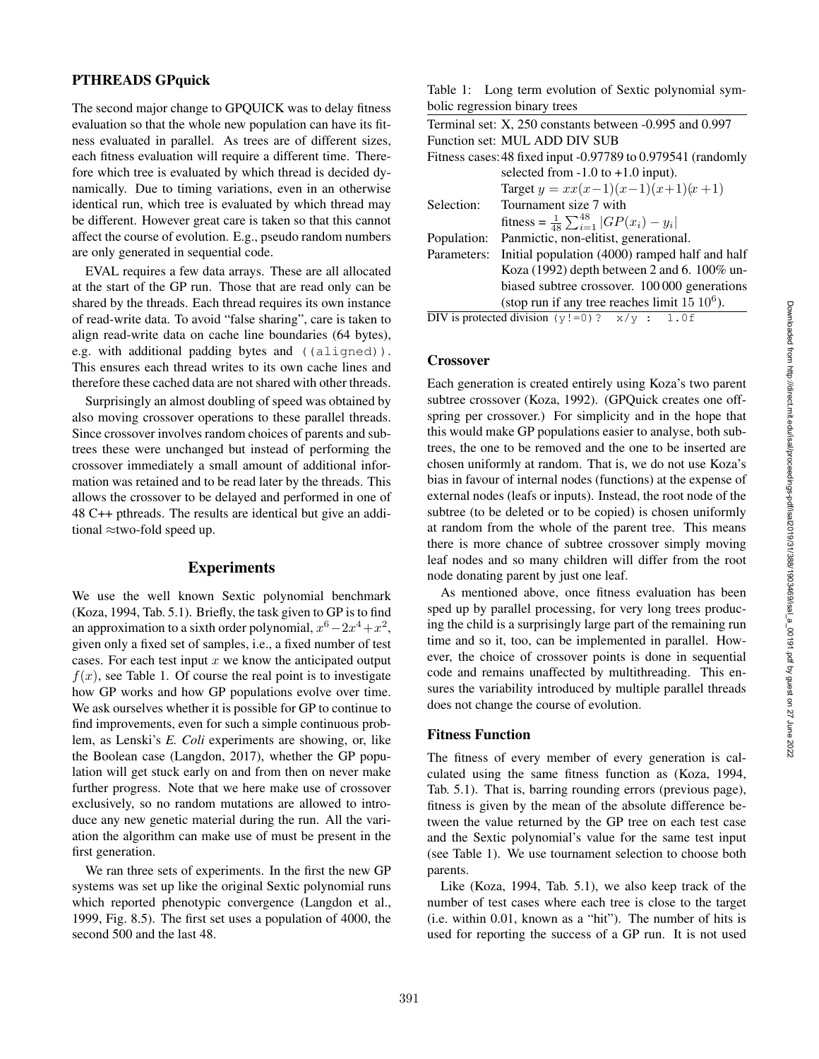## PTHREADS GPquick

The second major change to GPQUICK was to delay fitness evaluation so that the whole new population can have its fitness evaluated in parallel. As trees are of different sizes, each fitness evaluation will require a different time. Therefore which tree is evaluated by which thread is decided dynamically. Due to timing variations, even in an otherwise identical run, which tree is evaluated by which thread may be different. However great care is taken so that this cannot affect the course of evolution. E.g., pseudo random numbers are only generated in sequential code.

EVAL requires a few data arrays. These are all allocated at the start of the GP run. Those that are read only can be shared by the threads. Each thread requires its own instance of read-write data. To avoid "false sharing", care is taken to align read-write data on cache line boundaries (64 bytes), e.g. with additional padding bytes and ((aligned)). This ensures each thread writes to its own cache lines and therefore these cached data are not shared with other threads.

Surprisingly an almost doubling of speed was obtained by also moving crossover operations to these parallel threads. Since crossover involves random choices of parents and subtrees these were unchanged but instead of performing the crossover immediately a small amount of additional information was retained and to be read later by the threads. This allows the crossover to be delayed and performed in one of 48 C++ pthreads. The results are identical but give an additional ≈two-fold speed up.

## Experiments

We use the well known Sextic polynomial benchmark (Koza, 1994, Tab. 5.1). Briefly, the task given to GP is to find an approximation to a sixth order polynomial,  $x^6 - 2x^4 + x^2$ , given only a fixed set of samples, i.e., a fixed number of test cases. For each test input  $x$  we know the anticipated output  $f(x)$ , see Table 1. Of course the real point is to investigate how GP works and how GP populations evolve over time. We ask ourselves whether it is possible for GP to continue to find improvements, even for such a simple continuous problem, as Lenski's *E. Coli* experiments are showing, or, like the Boolean case (Langdon, 2017), whether the GP population will get stuck early on and from then on never make further progress. Note that we here make use of crossover exclusively, so no random mutations are allowed to introduce any new genetic material during the run. All the variation the algorithm can make use of must be present in the first generation.

We ran three sets of experiments. In the first the new GP systems was set up like the original Sextic polynomial runs which reported phenotypic convergence (Langdon et al., 1999, Fig. 8.5). The first set uses a population of 4000, the second 500 and the last 48.

|                               |  | Table 1: Long term evolution of Sextic polynomial sym- |  |
|-------------------------------|--|--------------------------------------------------------|--|
| bolic regression binary trees |  |                                                        |  |

|             | Terminal set: X, 250 constants between -0.995 and 0.997      |
|-------------|--------------------------------------------------------------|
|             | Function set: MUL ADD DIV SUB                                |
|             | Fitness cases: 48 fixed input -0.97789 to 0.979541 (randomly |
|             | selected from $-1.0$ to $+1.0$ input).                       |
|             | Target $y = xx(x-1)(x-1)(x+1)(x+1)$                          |
| Selection:  | Tournament size 7 with                                       |
|             | fitness = $\frac{1}{48} \sum_{i=1}^{48}  GP(x_i) - y_i $     |
| Population: | Panmictic, non-elitist, generational.                        |
| Parameters: | Initial population (4000) ramped half and half               |
|             | Koza (1992) depth between 2 and 6. 100% un-                  |
|             | biased subtree crossover. 100 000 generations                |
|             | (stop run if any tree reaches limit $15 10^6$ ).             |
|             | DIV is protected division $(y!=0)$ ? $x/y$ : 1.0f            |

#### Crossover

Each generation is created entirely using Koza's two parent subtree crossover (Koza, 1992). (GPQuick creates one offspring per crossover.) For simplicity and in the hope that this would make GP populations easier to analyse, both subtrees, the one to be removed and the one to be inserted are chosen uniformly at random. That is, we do not use Koza's bias in favour of internal nodes (functions) at the expense of external nodes (leafs or inputs). Instead, the root node of the subtree (to be deleted or to be copied) is chosen uniformly at random from the whole of the parent tree. This means there is more chance of subtree crossover simply moving leaf nodes and so many children will differ from the root node donating parent by just one leaf.

As mentioned above, once fitness evaluation has been sped up by parallel processing, for very long trees producing the child is a surprisingly large part of the remaining run time and so it, too, can be implemented in parallel. However, the choice of crossover points is done in sequential code and remains unaffected by multithreading. This ensures the variability introduced by multiple parallel threads does not change the course of evolution.

## Fitness Function

The fitness of every member of every generation is calculated using the same fitness function as (Koza, 1994, Tab. 5.1). That is, barring rounding errors (previous page), fitness is given by the mean of the absolute difference between the value returned by the GP tree on each test case and the Sextic polynomial's value for the same test input (see Table 1). We use tournament selection to choose both parents.

Like (Koza, 1994, Tab. 5.1), we also keep track of the number of test cases where each tree is close to the target (i.e. within 0.01, known as a "hit"). The number of hits is used for reporting the success of a GP run. It is not used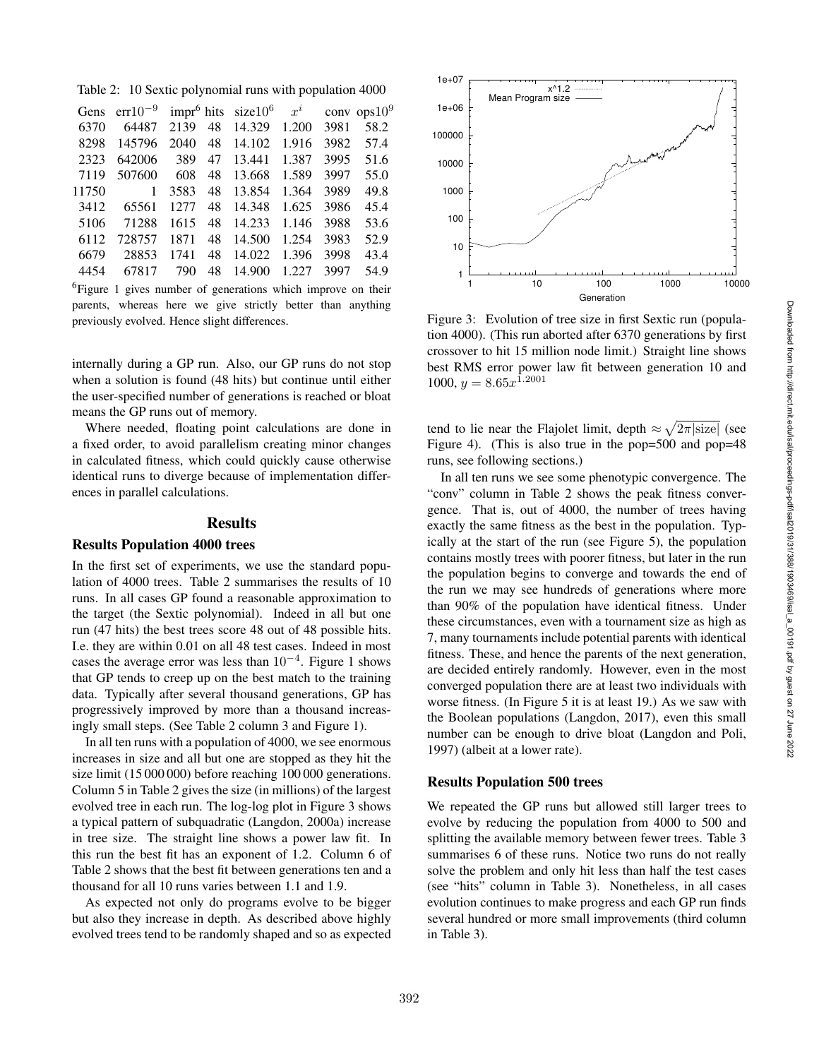Table 2: 10 Sextic polynomial runs with population 4000

|       | Gens err10 <sup>-9</sup> impr <sup>6</sup> hits size10 <sup>6</sup> $x^i$ |       |    |        |       |      | conv ops $10^9$ |
|-------|---------------------------------------------------------------------------|-------|----|--------|-------|------|-----------------|
| 6370  | 64487                                                                     | 2139  | 48 | 14.329 | 1.200 | 3981 | 58.2            |
| 8298  | 145796                                                                    | 2040  | 48 | 14.102 | 1.916 | 3982 | 57.4            |
| 2323  | 642006                                                                    | 389   | 47 | 13.441 | 1.387 | 3995 | 51.6            |
| 7119  | 507600                                                                    | 608   | 48 | 13.668 | 1.589 | 3997 | 55.0            |
| 11750 | 1                                                                         | 3583  | 48 | 13.854 | 1.364 | 3989 | 49.8            |
| 3412  | 65561                                                                     | 12.77 | 48 | 14.348 | 1.625 | 3986 | 45.4            |
| 5106  | 71288                                                                     | 1615  | 48 | 14.233 | 1.146 | 3988 | 53.6            |
| 6112  | 728757                                                                    | 1871  | 48 | 14.500 | 1.254 | 3983 | 52.9            |
| 6679  | 28853                                                                     | 1741  | 48 | 14.022 | 1.396 | 3998 | 43.4            |
| 4454  | 67817                                                                     | 790   | 48 | 14.900 | 1.227 | 3997 | 54.9            |
|       |                                                                           |       |    |        |       |      |                 |

<sup>6</sup>Figure 1 gives number of generations which improve on their parents, whereas here we give strictly better than anything previously evolved. Hence slight differences.

internally during a GP run. Also, our GP runs do not stop when a solution is found (48 hits) but continue until either the user-specified number of generations is reached or bloat means the GP runs out of memory.

Where needed, floating point calculations are done in a fixed order, to avoid parallelism creating minor changes in calculated fitness, which could quickly cause otherwise identical runs to diverge because of implementation differences in parallel calculations.

## **Results**

#### Results Population 4000 trees

In the first set of experiments, we use the standard population of 4000 trees. Table 2 summarises the results of 10 runs. In all cases GP found a reasonable approximation to the target (the Sextic polynomial). Indeed in all but one run (47 hits) the best trees score 48 out of 48 possible hits. I.e. they are within 0.01 on all 48 test cases. Indeed in most cases the average error was less than  $10^{-4}$ . Figure 1 shows that GP tends to creep up on the best match to the training data. Typically after several thousand generations, GP has progressively improved by more than a thousand increasingly small steps. (See Table 2 column 3 and Figure 1).

In all ten runs with a population of 4000, we see enormous increases in size and all but one are stopped as they hit the size limit (15 000 000) before reaching 100 000 generations. Column 5 in Table 2 gives the size (in millions) of the largest evolved tree in each run. The log-log plot in Figure 3 shows a typical pattern of subquadratic (Langdon, 2000a) increase in tree size. The straight line shows a power law fit. In this run the best fit has an exponent of 1.2. Column 6 of Table 2 shows that the best fit between generations ten and a thousand for all 10 runs varies between 1.1 and 1.9.

As expected not only do programs evolve to be bigger but also they increase in depth. As described above highly evolved trees tend to be randomly shaped and so as expected



Figure 3: Evolution of tree size in first Sextic run (population 4000). (This run aborted after 6370 generations by first crossover to hit 15 million node limit.) Straight line shows best RMS error power law fit between generation 10 and  $1000, y = 8.65x^{1.2001}$ 

tend to lie near the Flajolet limit, depth  $\approx \sqrt{2\pi |\text{size}|}$  (see Figure 4). (This is also true in the pop=500 and pop=48 runs, see following sections.)

In all ten runs we see some phenotypic convergence. The "conv" column in Table 2 shows the peak fitness convergence. That is, out of 4000, the number of trees having exactly the same fitness as the best in the population. Typically at the start of the run (see Figure 5), the population contains mostly trees with poorer fitness, but later in the run the population begins to converge and towards the end of the run we may see hundreds of generations where more than 90% of the population have identical fitness. Under these circumstances, even with a tournament size as high as 7, many tournaments include potential parents with identical fitness. These, and hence the parents of the next generation, are decided entirely randomly. However, even in the most converged population there are at least two individuals with worse fitness. (In Figure 5 it is at least 19.) As we saw with the Boolean populations (Langdon, 2017), even this small number can be enough to drive bloat (Langdon and Poli, 1997) (albeit at a lower rate).

#### Results Population 500 trees

We repeated the GP runs but allowed still larger trees to evolve by reducing the population from 4000 to 500 and splitting the available memory between fewer trees. Table 3 summarises 6 of these runs. Notice two runs do not really solve the problem and only hit less than half the test cases (see "hits" column in Table 3). Nonetheless, in all cases evolution continues to make progress and each GP run finds several hundred or more small improvements (third column in Table 3).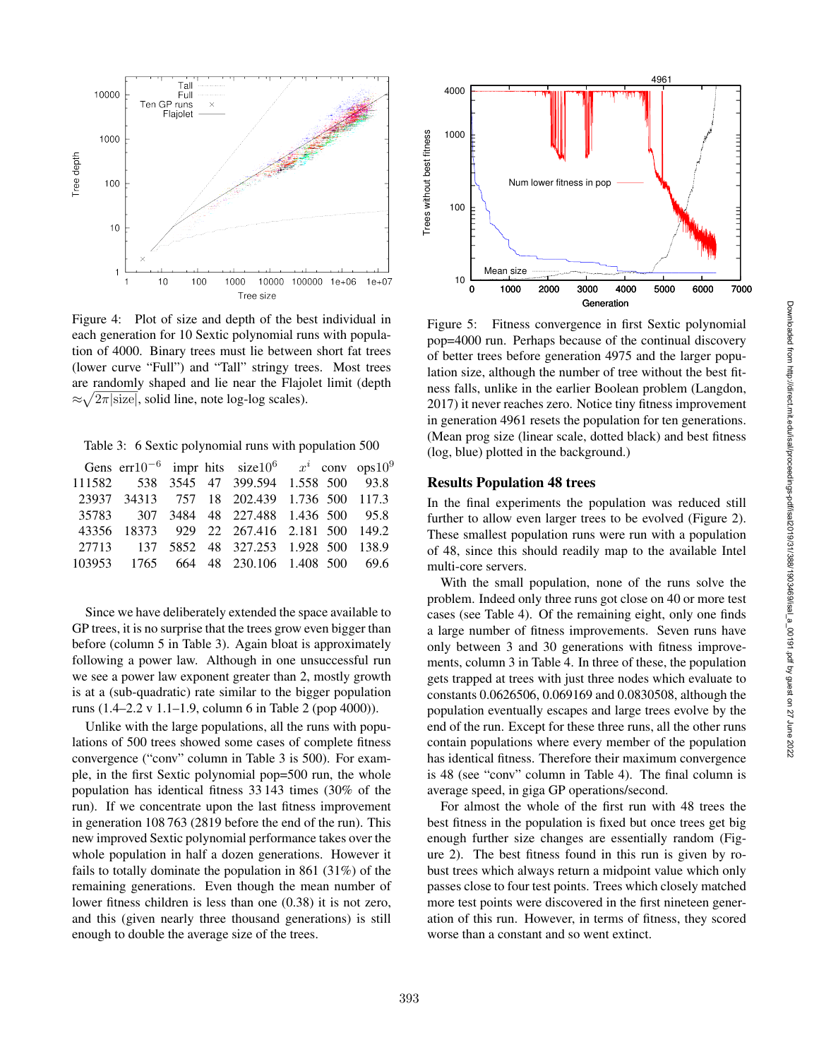

Figure 4: Plot of size and depth of the best individual in each generation for 10 Sextic polynomial runs with population of 4000. Binary trees must lie between short fat trees (lower curve "Full") and "Tall" stringy trees. Most trees are randomly shaped and lie near the Flajolet limit (depth  $\approx \sqrt{2\pi}$  size, solid line, note log-log scales).

Table 3: 6 Sextic polynomial runs with population 500

|  |  | Gens err10 <sup>-6</sup> impr hits size10 <sup>6</sup> $x^i$ conv ops10 <sup>9</sup> |  |  |
|--|--|--------------------------------------------------------------------------------------|--|--|
|  |  | 111582 538 3545 47 399.594 1.558 500 93.8                                            |  |  |
|  |  | 23937 34313 757 18 202.439 1.736 500 117.3                                           |  |  |
|  |  | 35783 307 3484 48 227.488 1.436 500 95.8                                             |  |  |
|  |  | 43356 18373 929 22 267.416 2.181 500 149.2                                           |  |  |
|  |  | 27713 137 5852 48 327.253 1.928 500 138.9                                            |  |  |
|  |  | 103953 1765 664 48 230.106 1.408 500 69.6                                            |  |  |
|  |  |                                                                                      |  |  |

Since we have deliberately extended the space available to GP trees, it is no surprise that the trees grow even bigger than before (column 5 in Table 3). Again bloat is approximately following a power law. Although in one unsuccessful run we see a power law exponent greater than 2, mostly growth is at a (sub-quadratic) rate similar to the bigger population runs (1.4–2.2 v 1.1–1.9, column 6 in Table 2 (pop 4000)).

Unlike with the large populations, all the runs with populations of 500 trees showed some cases of complete fitness convergence ("conv" column in Table 3 is 500). For example, in the first Sextic polynomial pop=500 run, the whole population has identical fitness 33 143 times (30% of the run). If we concentrate upon the last fitness improvement in generation 108 763 (2819 before the end of the run). This new improved Sextic polynomial performance takes over the whole population in half a dozen generations. However it fails to totally dominate the population in 861 (31%) of the remaining generations. Even though the mean number of lower fitness children is less than one (0.38) it is not zero, and this (given nearly three thousand generations) is still enough to double the average size of the trees.



Figure 5: Fitness convergence in first Sextic polynomial pop=4000 run. Perhaps because of the continual discovery of better trees before generation 4975 and the larger population size, although the number of tree without the best fitness falls, unlike in the earlier Boolean problem (Langdon, 2017) it never reaches zero. Notice tiny fitness improvement in generation 4961 resets the population for ten generations. (Mean prog size (linear scale, dotted black) and best fitness (log, blue) plotted in the background.)

#### Results Population 48 trees

In the final experiments the population was reduced still further to allow even larger trees to be evolved (Figure 2). These smallest population runs were run with a population of 48, since this should readily map to the available Intel multi-core servers.

With the small population, none of the runs solve the problem. Indeed only three runs got close on 40 or more test cases (see Table 4). Of the remaining eight, only one finds a large number of fitness improvements. Seven runs have only between 3 and 30 generations with fitness improvements, column 3 in Table 4. In three of these, the population gets trapped at trees with just three nodes which evaluate to constants 0.0626506, 0.069169 and 0.0830508, although the population eventually escapes and large trees evolve by the end of the run. Except for these three runs, all the other runs contain populations where every member of the population has identical fitness. Therefore their maximum convergence is 48 (see "conv" column in Table 4). The final column is average speed, in giga GP operations/second.

For almost the whole of the first run with 48 trees the best fitness in the population is fixed but once trees get big enough further size changes are essentially random (Figure 2). The best fitness found in this run is given by robust trees which always return a midpoint value which only passes close to four test points. Trees which closely matched more test points were discovered in the first nineteen generation of this run. However, in terms of fitness, they scored worse than a constant and so went extinct.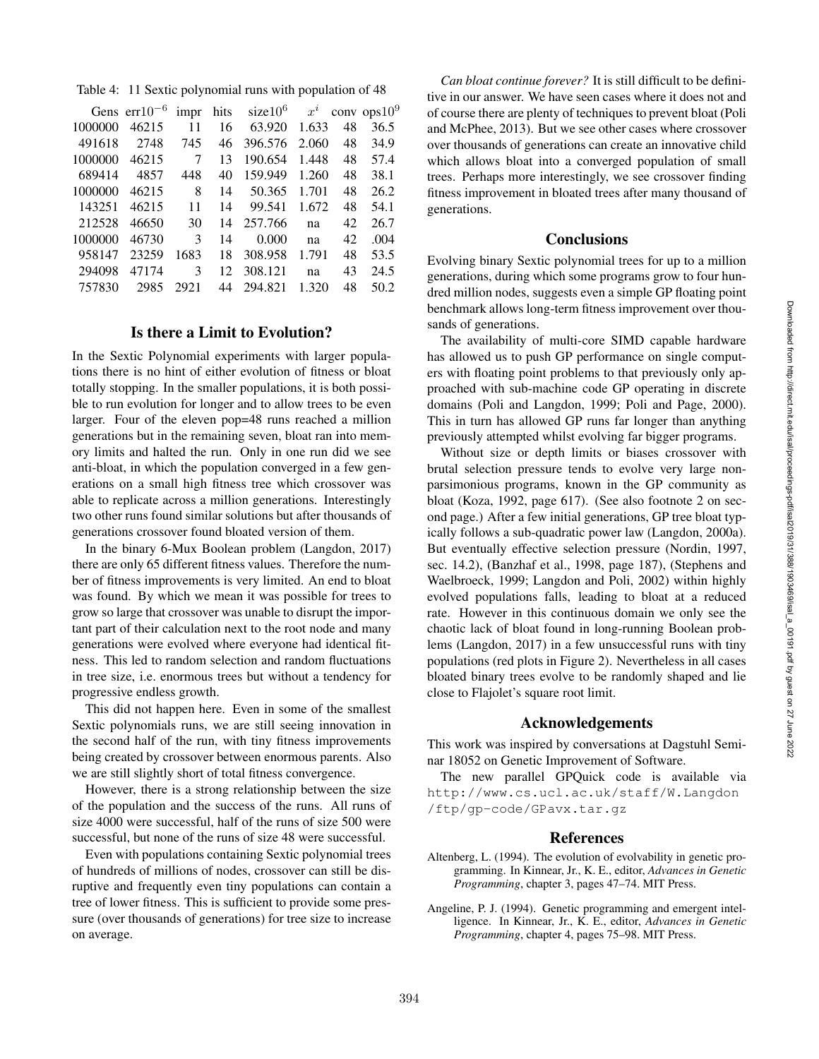Table 4: 11 Sextic polynomial runs with population of 48

|         | Gens $err10^{-6}$ | impr | hits | $size10^6$ | $x^i$ |    | conv ops $10^9$ |
|---------|-------------------|------|------|------------|-------|----|-----------------|
| 1000000 | 46215             | 11   | 16   | 63.920     | 1.633 | 48 | 36.5            |
| 491618  | 2748              | 745  | 46   | 396.576    | 2.060 | 48 | 34.9            |
| 1000000 | 46215             | 7    | 13   | 190.654    | 1.448 | 48 | 57.4            |
| 689414  | 4857              | 448  | 40   | 159.949    | 1.260 | 48 | 38.1            |
| 1000000 | 46215             | 8    | 14   | 50.365     | 1.701 | 48 | 26.2            |
| 143251  | 46215             | 11   | 14   | 99.541     | 1.672 | 48 | 54.1            |
| 212528  | 46650             | 30   | 14   | 257.766    | na    | 42 | 26.7            |
| 1000000 | 46730             | 3    | 14   | 0.000      | na    | 42 | .004            |
| 958147  | 23259             | 1683 | 18   | 308.958    | 1.791 | 48 | 53.5            |
| 294098  | 47174             | 3    | 12   | 308.121    | na    | 43 | 24.5            |
| 757830  | 2985              | 2921 | 44   | 294.821    | 1.320 | 48 | 50.2            |
|         |                   |      |      |            |       |    |                 |

## Is there a Limit to Evolution?

In the Sextic Polynomial experiments with larger populations there is no hint of either evolution of fitness or bloat totally stopping. In the smaller populations, it is both possible to run evolution for longer and to allow trees to be even larger. Four of the eleven pop=48 runs reached a million generations but in the remaining seven, bloat ran into memory limits and halted the run. Only in one run did we see anti-bloat, in which the population converged in a few generations on a small high fitness tree which crossover was able to replicate across a million generations. Interestingly two other runs found similar solutions but after thousands of generations crossover found bloated version of them.

In the binary 6-Mux Boolean problem (Langdon, 2017) there are only 65 different fitness values. Therefore the number of fitness improvements is very limited. An end to bloat was found. By which we mean it was possible for trees to grow so large that crossover was unable to disrupt the important part of their calculation next to the root node and many generations were evolved where everyone had identical fitness. This led to random selection and random fluctuations in tree size, i.e. enormous trees but without a tendency for progressive endless growth.

This did not happen here. Even in some of the smallest Sextic polynomials runs, we are still seeing innovation in the second half of the run, with tiny fitness improvements being created by crossover between enormous parents. Also we are still slightly short of total fitness convergence.

However, there is a strong relationship between the size of the population and the success of the runs. All runs of size 4000 were successful, half of the runs of size 500 were successful, but none of the runs of size 48 were successful.

Even with populations containing Sextic polynomial trees of hundreds of millions of nodes, crossover can still be disruptive and frequently even tiny populations can contain a tree of lower fitness. This is sufficient to provide some pressure (over thousands of generations) for tree size to increase on average.

*Can bloat continue forever?* It is still difficult to be definitive in our answer. We have seen cases where it does not and of course there are plenty of techniques to prevent bloat (Poli and McPhee, 2013). But we see other cases where crossover over thousands of generations can create an innovative child which allows bloat into a converged population of small trees. Perhaps more interestingly, we see crossover finding fitness improvement in bloated trees after many thousand of generations.

## **Conclusions**

Evolving binary Sextic polynomial trees for up to a million generations, during which some programs grow to four hundred million nodes, suggests even a simple GP floating point benchmark allows long-term fitness improvement over thousands of generations.

The availability of multi-core SIMD capable hardware has allowed us to push GP performance on single computers with floating point problems to that previously only approached with sub-machine code GP operating in discrete domains (Poli and Langdon, 1999; Poli and Page, 2000). This in turn has allowed GP runs far longer than anything previously attempted whilst evolving far bigger programs.

Without size or depth limits or biases crossover with brutal selection pressure tends to evolve very large nonparsimonious programs, known in the GP community as bloat (Koza, 1992, page 617). (See also footnote 2 on second page.) After a few initial generations, GP tree bloat typically follows a sub-quadratic power law (Langdon, 2000a). But eventually effective selection pressure (Nordin, 1997, sec. 14.2), (Banzhaf et al., 1998, page 187), (Stephens and Waelbroeck, 1999; Langdon and Poli, 2002) within highly evolved populations falls, leading to bloat at a reduced rate. However in this continuous domain we only see the chaotic lack of bloat found in long-running Boolean problems (Langdon, 2017) in a few unsuccessful runs with tiny populations (red plots in Figure 2). Nevertheless in all cases bloated binary trees evolve to be randomly shaped and lie close to Flajolet's square root limit.

#### Acknowledgements

This work was inspired by conversations at Dagstuhl Seminar 18052 on Genetic Improvement of Software.

The new parallel GPQuick code is available via http://www.cs.ucl.ac.uk/staff/W.Langdon /ftp/gp-code/GPavx.tar.gz

#### References

- Altenberg, L. (1994). The evolution of evolvability in genetic programming. In Kinnear, Jr., K. E., editor, *Advances in Genetic Programming*, chapter 3, pages 47–74. MIT Press.
- Angeline, P. J. (1994). Genetic programming and emergent intelligence. In Kinnear, Jr., K. E., editor, *Advances in Genetic Programming*, chapter 4, pages 75–98. MIT Press.